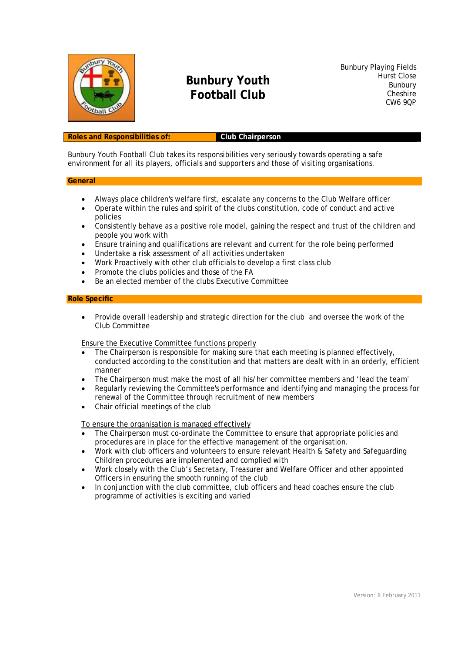

## **Bunbury Youth Football Club**

Bunbury Playing Fields Hurst Close Bunbury **Cheshire** CW6 9QP

### **Roles and Responsibilities of: Club Chairperson**

Bunbury Youth Football Club takes its responsibilities very seriously towards operating a safe environment for all its players, officials and supporters and those of visiting organisations.

#### **General**

- Always place children's welfare first, escalate any concerns to the Club Welfare officer
- Operate within the rules and spirit of the clubs constitution, code of conduct and active policies
- Consistently behave as a positive role model, gaining the respect and trust of the children and people you work with
- Ensure training and qualifications are relevant and current for the role being performed
- Undertake a risk assessment of all activities undertaken
- Work Proactively with other club officials to develop a first class club
- Promote the clubs policies and those of the FA
- Be an elected member of the clubs Executive Committee

#### **Role Specific**

 Provide overall leadership and strategic direction for the club and oversee the work of the Club Committee

Ensure the Executive Committee functions properly

- The Chairperson is responsible for making sure that each meeting is planned effectively, conducted according to the constitution and that matters are dealt with in an orderly, efficient manner
- The Chairperson must make the most of all his/her committee members and 'lead the team'
- Regularly reviewing the Committee's performance and identifying and managing the process for renewal of the Committee through recruitment of new members
- Chair official meetings of the club

To ensure the organisation is managed effectively

- The Chairperson must co-ordinate the Committee to ensure that appropriate policies and procedures are in place for the effective management of the organisation.
- Work with club officers and volunteers to ensure relevant Health & Safety and Safeguarding Children procedures are implemented and complied with
- Work closely with the Club's Secretary, Treasurer and Welfare Officer and other appointed Officers in ensuring the smooth running of the club
- In conjunction with the club committee, club officers and head coaches ensure the club programme of activities is exciting and varied